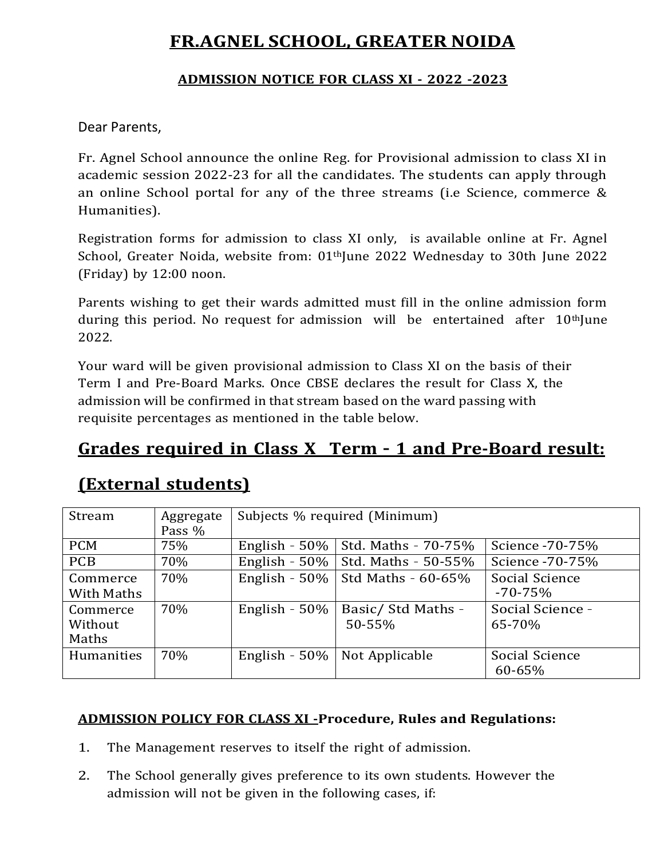# **FR.AGNEL SCHOOL, GREATER NOIDA**

### **ADMISSION NOTICE FOR CLASS XI - 2022 -2023**

### Dear Parents,

Fr. Agnel School announce the online Reg. for Provisional admission to class XI in academic session 2022-23 for all the candidates. The students can apply through an online School portal for any of the three streams (i.e Science, commerce & Humanities).

Registration forms for admission to class XI only, is available online at Fr. Agnel School, Greater Noida, website from: 01<sup>th</sup>June 2022 Wednesday to 30th June 2022 (Friday) by 12:00 noon.

Parents wishing to get their wards admitted must fill in the online admission form during this period. No request for admission will be entertained after  $10<sup>th</sup>$  June 2022.

Your ward will be given provisional admission to Class XI on the basis of their Term I and Pre-Board Marks. Once CBSE declares the result for Class X, the admission will be confirmed in that stream based on the ward passing with requisite percentages as mentioned in the table below.

## **Grades required in Class X Term – 1 and Pre-Board result:**

## **(External students)**

| Stream     | Aggregate | Subjects % required (Minimum) |                     |                  |  |
|------------|-----------|-------------------------------|---------------------|------------------|--|
|            | Pass %    |                               |                     |                  |  |
| <b>PCM</b> | 75%       | English - $50\%$              | Std. Maths - 70-75% | Science -70-75%  |  |
| <b>PCB</b> | 70%       | English - $50\%$              | Std. Maths - 50-55% | Science -70-75%  |  |
| Commerce   | 70%       | English - $50\%$              | Std Maths $-60-65%$ | Social Science   |  |
| With Maths |           |                               |                     | $-70 - 75%$      |  |
| Commerce   | 70%       | English - $50\%$              | Basic/ Std Maths -  | Social Science - |  |
| Without    |           |                               | 50-55%              | 65-70%           |  |
| Maths      |           |                               |                     |                  |  |
| Humanities | 70%       | English - $50\%$              | Not Applicable      | Social Science   |  |
|            |           |                               |                     | 60-65%           |  |

### **ADMISSION POLICY FOR CLASS XI -Procedure, Rules and Regulations:**

- 1. The Management reserves to itself the right of admission.
- 2. The School generally gives preference to its own students. However the admission will not be given in the following cases, if: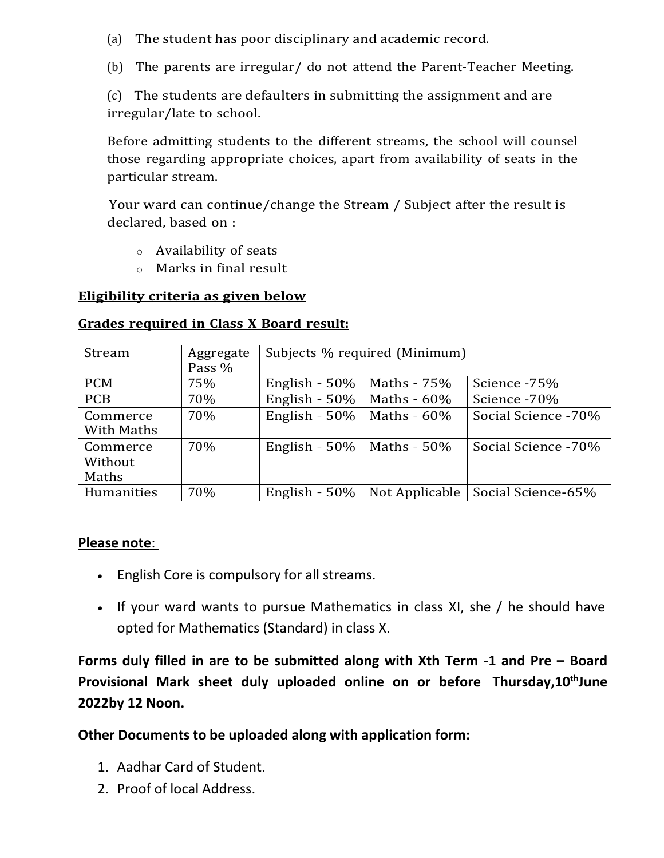(a) The student has poor disciplinary and academic record.

(b) The parents are irregular/ do not attend the Parent-Teacher Meeting.

(c) The students are defaulters in submitting the assignment and are irregular/late to school.

Before admitting students to the different streams, the school will counsel those regarding appropriate choices, apart from availability of seats in the particular stream.

Your ward can continue/change the Stream / Subject after the result is declared, based on :

- o Availability of seats
- o Marks in final result

#### **Eligibility criteria as given below**

| Stream                       | Aggregate<br>Pass % | Subjects % required (Minimum) |                |                     |
|------------------------------|---------------------|-------------------------------|----------------|---------------------|
| <b>PCM</b>                   | 75%                 | English - $50\%$              | Maths - 75%    | Science - 75%       |
| <b>PCB</b>                   | 70%                 | English - 50%                 | Maths - 60%    | Science - 70%       |
| Commerce<br>With Maths       | 70%                 | English - $50\%$              | Maths - $60\%$ | Social Science -70% |
| Commerce<br>Without<br>Maths | 70%                 | English - 50% $\vert$         | Maths - 50%    | Social Science -70% |
| Humanities                   | 70%                 | English - $50\%$              | Not Applicable | Social Science-65%  |

#### **Grades required in Class X Board result:**

#### **Please note**:

- English Core is compulsory for all streams.
- If your ward wants to pursue Mathematics in class XI, she / he should have opted for Mathematics (Standard) in class X.

**Forms duly filled in are to be submitted along with Xth Term -1 and Pre – Board Provisional Mark sheet duly uploaded online on or before Thursday,10thJune 2022by 12 Noon.**

## **Other Documents to be uploaded along with application form:**

- 1. Aadhar Card of Student.
- 2. Proof of local Address.